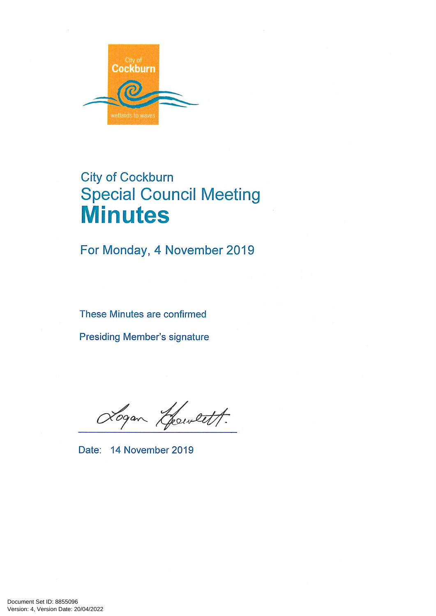

# **City of Cockburn Special Council Meeting Minutes**

For Monday, 4 November 2019

These Minutes are confirmed

**Presiding Member's signature** 

Logan Gewett.

Date: 14 November 2019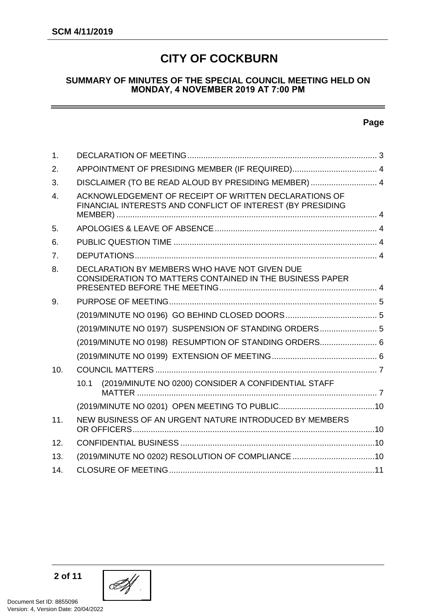## **CITY OF COCKBURN**

#### **SUMMARY OF MINUTES OF THE SPECIAL COUNCIL MEETING HELD ON MONDAY, 4 NOVEMBER 2019 AT 7:00 PM**

#### **Page**

| $\mathbf 1$ . |                                                                                                                     |  |  |  |
|---------------|---------------------------------------------------------------------------------------------------------------------|--|--|--|
| 2.            |                                                                                                                     |  |  |  |
| 3.            | DISCLAIMER (TO BE READ ALOUD BY PRESIDING MEMBER)  4                                                                |  |  |  |
| 4.            | ACKNOWLEDGEMENT OF RECEIPT OF WRITTEN DECLARATIONS OF<br>FINANCIAL INTERESTS AND CONFLICT OF INTEREST (BY PRESIDING |  |  |  |
| 5.            |                                                                                                                     |  |  |  |
| 6.            |                                                                                                                     |  |  |  |
| 7.            |                                                                                                                     |  |  |  |
| 8.            | DECLARATION BY MEMBERS WHO HAVE NOT GIVEN DUE<br>CONSIDERATION TO MATTERS CONTAINED IN THE BUSINESS PAPER           |  |  |  |
| 9.            |                                                                                                                     |  |  |  |
|               |                                                                                                                     |  |  |  |
|               | (2019/MINUTE NO 0197) SUSPENSION OF STANDING ORDERS 5                                                               |  |  |  |
|               | (2019/MINUTE NO 0198) RESUMPTION OF STANDING ORDERS 6                                                               |  |  |  |
|               |                                                                                                                     |  |  |  |
| 10.           |                                                                                                                     |  |  |  |
|               | (2019/MINUTE NO 0200) CONSIDER A CONFIDENTIAL STAFF<br>10.1                                                         |  |  |  |
|               |                                                                                                                     |  |  |  |
| 11.           | NEW BUSINESS OF AN URGENT NATURE INTRODUCED BY MEMBERS                                                              |  |  |  |
| 12.           |                                                                                                                     |  |  |  |
| 13.           | (2019/MINUTE NO 0202) RESOLUTION OF COMPLIANCE 10                                                                   |  |  |  |
| 14.           |                                                                                                                     |  |  |  |

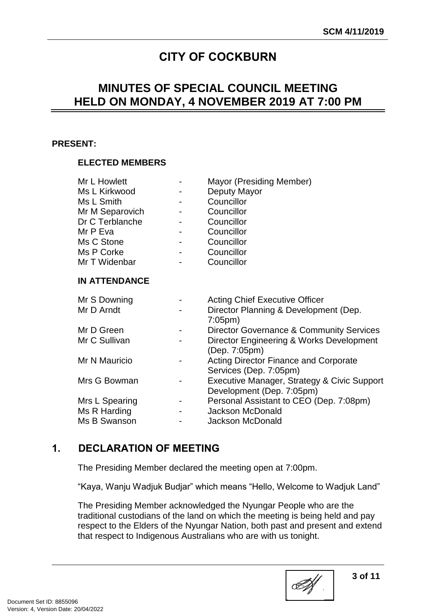## **CITY OF COCKBURN**

## **MINUTES OF SPECIAL COUNCIL MEETING HELD ON MONDAY, 4 NOVEMBER 2019 AT 7:00 PM**

#### **PRESENT:**

## **ELECTED MEMBERS**

| Mr L Howlett         |  | Mayor (Presiding Member)                                                 |  |  |
|----------------------|--|--------------------------------------------------------------------------|--|--|
| Ms L Kirkwood        |  | Deputy Mayor                                                             |  |  |
| Ms L Smith           |  | Councillor                                                               |  |  |
| Mr M Separovich      |  | Councillor                                                               |  |  |
| Dr C Terblanche      |  | Councillor                                                               |  |  |
| Mr P Eva             |  | Councillor                                                               |  |  |
| Ms C Stone           |  | Councillor                                                               |  |  |
| Ms P Corke           |  | Councillor                                                               |  |  |
| Mr T Widenbar        |  | Councillor                                                               |  |  |
| <b>IN ATTENDANCE</b> |  |                                                                          |  |  |
| Mr S Downing         |  | <b>Acting Chief Executive Officer</b>                                    |  |  |
| Mr D Arndt           |  | Director Planning & Development (Dep.<br>$7:05$ pm $)$                   |  |  |
| Mr D Green           |  | Director Governance & Community Services                                 |  |  |
| Mr C Sullivan        |  | Director Engineering & Works Development<br>(Dep. 7:05pm)                |  |  |
| Mr N Mauricio        |  | <b>Acting Director Finance and Corporate</b><br>Services (Dep. 7:05pm)   |  |  |
| Mrs G Bowman         |  | Executive Manager, Strategy & Civic Support<br>Development (Dep. 7:05pm) |  |  |
| Mrs L Spearing       |  | Personal Assistant to CEO (Dep. 7:08pm)                                  |  |  |
| Ms R Harding         |  | <b>Jackson McDonald</b>                                                  |  |  |
| Ms B Swanson         |  | <b>Jackson McDonald</b>                                                  |  |  |
|                      |  |                                                                          |  |  |

## <span id="page-2-0"></span>**1. DECLARATION OF MEETING**

The Presiding Member declared the meeting open at 7:00pm.

"Kaya, Wanju Wadjuk Budjar" which means "Hello, Welcome to Wadjuk Land"

The Presiding Member acknowledged the Nyungar People who are the traditional custodians of the land on which the meeting is being held and pay respect to the Elders of the Nyungar Nation, both past and present and extend that respect to Indigenous Australians who are with us tonight.

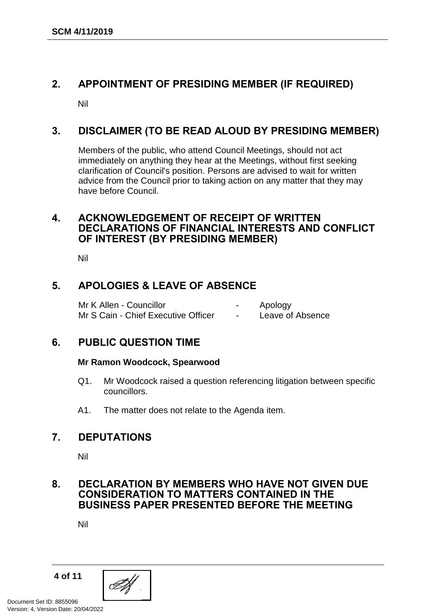## <span id="page-3-0"></span>**2. APPOINTMENT OF PRESIDING MEMBER (IF REQUIRED)**

Nil

## <span id="page-3-1"></span>**3. DISCLAIMER (TO BE READ ALOUD BY PRESIDING MEMBER)**

Members of the public, who attend Council Meetings, should not act immediately on anything they hear at the Meetings, without first seeking clarification of Council's position. Persons are advised to wait for written advice from the Council prior to taking action on any matter that they may have before Council.

## <span id="page-3-2"></span>**4. ACKNOWLEDGEMENT OF RECEIPT OF WRITTEN DECLARATIONS OF FINANCIAL INTERESTS AND CONFLICT OF INTEREST (BY PRESIDING MEMBER)**

Nil

## <span id="page-3-3"></span>**5. APOLOGIES & LEAVE OF ABSENCE**

Mr K Allen - Councillor **Cause Councillor Figure 2** Apology Mr S Cain - Chief Executive Officer - Leave of Absence

## <span id="page-3-4"></span>**6. PUBLIC QUESTION TIME**

#### **Mr Ramon Woodcock, Spearwood**

- Q1. Mr Woodcock raised a question referencing litigation between specific councillors.
- A1. The matter does not relate to the Agenda item.

## <span id="page-3-5"></span>**7. DEPUTATIONS**

Nil

## <span id="page-3-6"></span>**8. DECLARATION BY MEMBERS WHO HAVE NOT GIVEN DUE CONSIDERATION TO MATTERS CONTAINED IN THE BUSINESS PAPER PRESENTED BEFORE THE MEETING**

Nil

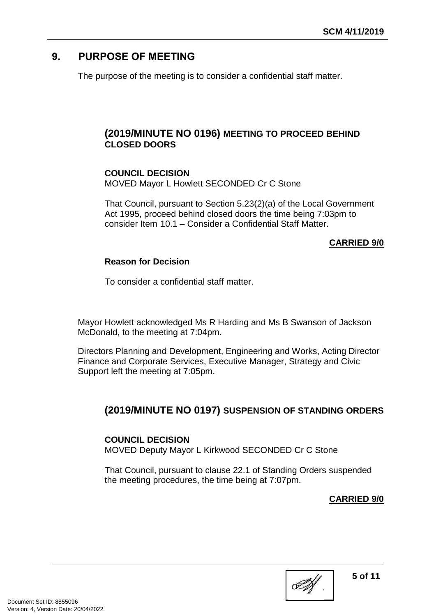## <span id="page-4-0"></span>**9. PURPOSE OF MEETING**

The purpose of the meeting is to consider a confidential staff matter.

## <span id="page-4-1"></span>**(2019/MINUTE NO 0196) MEETING TO PROCEED BEHIND CLOSED DOORS**

## **COUNCIL DECISION**

MOVED Mayor L Howlett SECONDED Cr C Stone

That Council, pursuant to Section 5.23(2)(a) of the Local Government Act 1995, proceed behind closed doors the time being 7:03pm to consider Item 10.1 – Consider a Confidential Staff Matter.

## **CARRIED 9/0**

## **Reason for Decision**

To consider a confidential staff matter.

Mayor Howlett acknowledged Ms R Harding and Ms B Swanson of Jackson McDonald, to the meeting at 7:04pm.

Directors Planning and Development, Engineering and Works, Acting Director Finance and Corporate Services, Executive Manager, Strategy and Civic Support left the meeting at 7:05pm.

## **(2019/MINUTE NO 0197) SUSPENSION OF STANDING ORDERS**

## **COUNCIL DECISION**

MOVED Deputy Mayor L Kirkwood SECONDED Cr C Stone

That Council, pursuant to clause 22.1 of Standing Orders suspended the meeting procedures, the time being at 7:07pm.

## <span id="page-4-2"></span>**CARRIED 9/0**

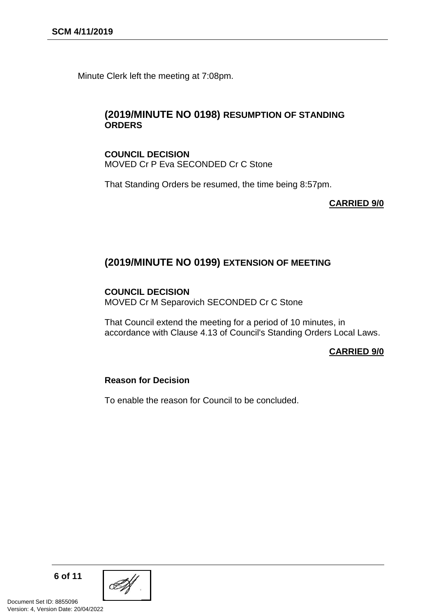Minute Clerk left the meeting at 7:08pm.

#### <span id="page-5-0"></span>**(2019/MINUTE NO 0198) RESUMPTION OF STANDING ORDERS**

#### **COUNCIL DECISION** MOVED Cr P Eva SECONDED Cr C Stone

That Standing Orders be resumed, the time being 8:57pm.

#### <span id="page-5-1"></span>**CARRIED 9/0**

## **(2019/MINUTE NO 0199) EXTENSION OF MEETING**

#### **COUNCIL DECISION**

MOVED Cr M Separovich SECONDED Cr C Stone

That Council extend the meeting for a period of 10 minutes, in accordance with Clause 4.13 of Council's Standing Orders Local Laws.

#### **CARRIED 9/0**

#### **Reason for Decision**

To enable the reason for Council to be concluded.

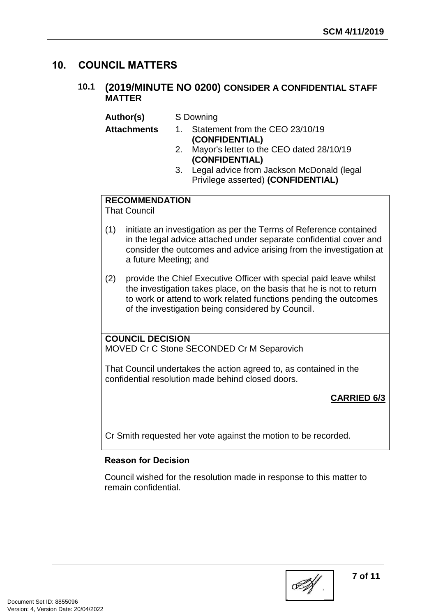## <span id="page-6-1"></span><span id="page-6-0"></span>**10. COUNCIL MATTERS**

## **10.1 (2019/MINUTE NO 0200) CONSIDER A CONFIDENTIAL STAFF MATTER**

**Author(s)** S Downing

- **Attachments** 1. Statement from the CEO 23/10/19 **(CONFIDENTIAL)** 
	- 2. Mayor's letter to the CEO dated 28/10/19 **(CONFIDENTIAL)**
	- 3. Legal advice from Jackson McDonald (legal Privilege asserted) **(CONFIDENTIAL)**

## **RECOMMENDATION**

That Council

- (1) initiate an investigation as per the Terms of Reference contained in the legal advice attached under separate confidential cover and consider the outcomes and advice arising from the investigation at a future Meeting; and
- (2) provide the Chief Executive Officer with special paid leave whilst the investigation takes place, on the basis that he is not to return to work or attend to work related functions pending the outcomes of the investigation being considered by Council.

## **COUNCIL DECISION**

MOVED Cr C Stone SECONDED Cr M Separovich

That Council undertakes the action agreed to, as contained in the confidential resolution made behind closed doors.

## **CARRIED 6/3**

Cr Smith requested her vote against the motion to be recorded.

#### **Reason for Decision**

Council wished for the resolution made in response to this matter to remain confidential.

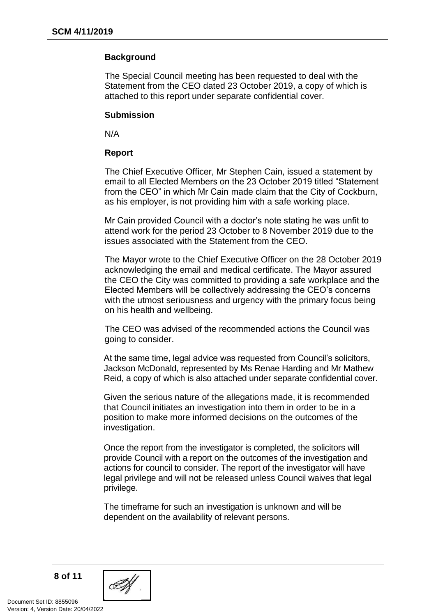#### **Background**

The Special Council meeting has been requested to deal with the Statement from the CEO dated 23 October 2019, a copy of which is attached to this report under separate confidential cover.

#### **Submission**

N/A

#### **Report**

The Chief Executive Officer, Mr Stephen Cain, issued a statement by email to all Elected Members on the 23 October 2019 titled "Statement from the CEO" in which Mr Cain made claim that the City of Cockburn, as his employer, is not providing him with a safe working place.

Mr Cain provided Council with a doctor's note stating he was unfit to attend work for the period 23 October to 8 November 2019 due to the issues associated with the Statement from the CEO.

The Mayor wrote to the Chief Executive Officer on the 28 October 2019 acknowledging the email and medical certificate. The Mayor assured the CEO the City was committed to providing a safe workplace and the Elected Members will be collectively addressing the CEO's concerns with the utmost seriousness and urgency with the primary focus being on his health and wellbeing.

The CEO was advised of the recommended actions the Council was going to consider.

At the same time, legal advice was requested from Council's solicitors, Jackson McDonald, represented by Ms Renae Harding and Mr Mathew Reid, a copy of which is also attached under separate confidential cover.

Given the serious nature of the allegations made, it is recommended that Council initiates an investigation into them in order to be in a position to make more informed decisions on the outcomes of the investigation.

Once the report from the investigator is completed, the solicitors will provide Council with a report on the outcomes of the investigation and actions for council to consider. The report of the investigator will have legal privilege and will not be released unless Council waives that legal privilege.

The timeframe for such an investigation is unknown and will be dependent on the availability of relevant persons.

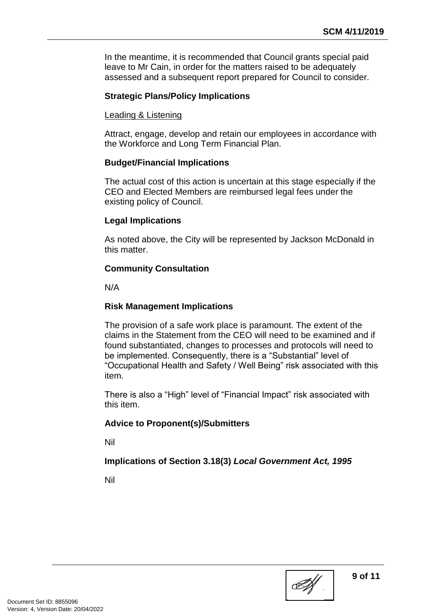In the meantime, it is recommended that Council grants special paid leave to Mr Cain, in order for the matters raised to be adequately assessed and a subsequent report prepared for Council to consider.

## **Strategic Plans/Policy Implications**

#### Leading & Listening

Attract, engage, develop and retain our employees in accordance with the Workforce and Long Term Financial Plan.

#### **Budget/Financial Implications**

The actual cost of this action is uncertain at this stage especially if the CEO and Elected Members are reimbursed legal fees under the existing policy of Council.

#### **Legal Implications**

As noted above, the City will be represented by Jackson McDonald in this matter.

#### **Community Consultation**

N/A

#### **Risk Management Implications**

The provision of a safe work place is paramount. The extent of the claims in the Statement from the CEO will need to be examined and if found substantiated, changes to processes and protocols will need to be implemented. Consequently, there is a "Substantial" level of "Occupational Health and Safety / Well Being" risk associated with this item.

There is also a "High" level of "Financial Impact" risk associated with this item.

#### **Advice to Proponent(s)/Submitters**

Nil

#### **Implications of Section 3.18(3)** *Local Government Act, 1995*

Nil

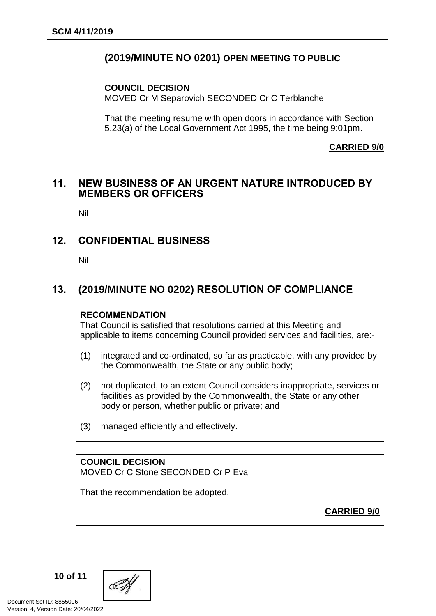## **(2019/MINUTE NO 0201) OPEN MEETING TO PUBLIC**

**COUNCIL DECISION**

MOVED Cr M Separovich SECONDED Cr C Terblanche

That the meeting resume with open doors in accordance with Section 5.23(a) of the Local Government Act 1995, the time being 9:01pm.

<span id="page-9-0"></span>**CARRIED 9/0**

#### <span id="page-9-1"></span>**11. NEW BUSINESS OF AN URGENT NATURE INTRODUCED BY MEMBERS OR OFFICERS**

Nil

## <span id="page-9-2"></span>**12. CONFIDENTIAL BUSINESS**

Nil

## <span id="page-9-3"></span>**13. (2019/MINUTE NO 0202) RESOLUTION OF COMPLIANCE**

#### **RECOMMENDATION**

That Council is satisfied that resolutions carried at this Meeting and applicable to items concerning Council provided services and facilities, are:-

- (1) integrated and co-ordinated, so far as practicable, with any provided by the Commonwealth, the State or any public body;
- (2) not duplicated, to an extent Council considers inappropriate, services or facilities as provided by the Commonwealth, the State or any other body or person, whether public or private; and
- (3) managed efficiently and effectively.

**COUNCIL DECISION** MOVED Cr C Stone SECONDED Cr P Eva

That the recommendation be adopted.

**CARRIED 9/0**